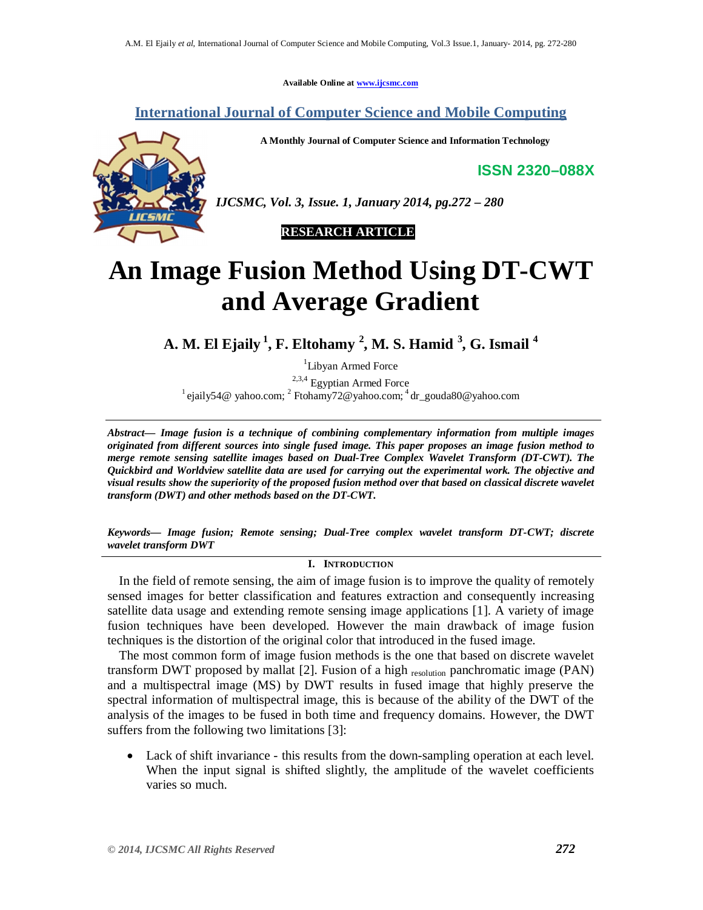**Available Online at www.ijcsmc.com**

**International Journal of Computer Science and Mobile Computing**

**A Monthly Journal of Computer Science and Information Technology**

**ISSN 2320–088X**



*IJCSMC, Vol. 3, Issue. 1, January 2014, pg.272 – 280*

## **RESEARCH ARTICLE**

# **An Image Fusion Method Using DT-CWT and Average Gradient**

**A. M. El Ejaily <sup>1</sup> , F. Eltohamy <sup>2</sup> , M. S. Hamid <sup>3</sup> , G. Ismail <sup>4</sup>**

<sup>1</sup>Libyan Armed Force

 $2,3,4$  Egyptian Armed Force <sup>1</sup> ejaily54@ yahoo.com; <sup>2</sup> Ftohamy72@yahoo.com; <sup>4</sup> dr\_gouda80@yahoo.com

*Abstract— Image fusion is a technique of combining complementary information from multiple images originated from different sources into single fused image. This paper proposes an image fusion method to merge remote sensing satellite images based on Dual-Tree Complex Wavelet Transform (DT-CWT). The Quickbird and Worldview satellite data are used for carrying out the experimental work. The objective and visual results show the superiority of the proposed fusion method over that based on classical discrete wavelet transform (DWT) and other methods based on the DT-CWT.*

*Keywords— Image fusion; Remote sensing; Dual-Tree complex wavelet transform DT-CWT; discrete wavelet transform DWT*

**I. INTRODUCTION**

In the field of remote sensing, the aim of image fusion is to improve the quality of remotely sensed images for better classification and features extraction and consequently increasing satellite data usage and extending remote sensing image applications [1]. A variety of image fusion techniques have been developed. However the main drawback of image fusion techniques is the distortion of the original color that introduced in the fused image.

The most common form of image fusion methods is the one that based on discrete wavelet transform DWT proposed by mallat [2]. Fusion of a high  $_{\text{resolution}}$  panchromatic image (PAN) and a multispectral image (MS) by DWT results in fused image that highly preserve the spectral information of multispectral image, this is because of the ability of the DWT of the analysis of the images to be fused in both time and frequency domains. However, the DWT suffers from the following two limitations [3]:

 Lack of shift invariance - this results from the down-sampling operation at each level. When the input signal is shifted slightly, the amplitude of the wavelet coefficients varies so much.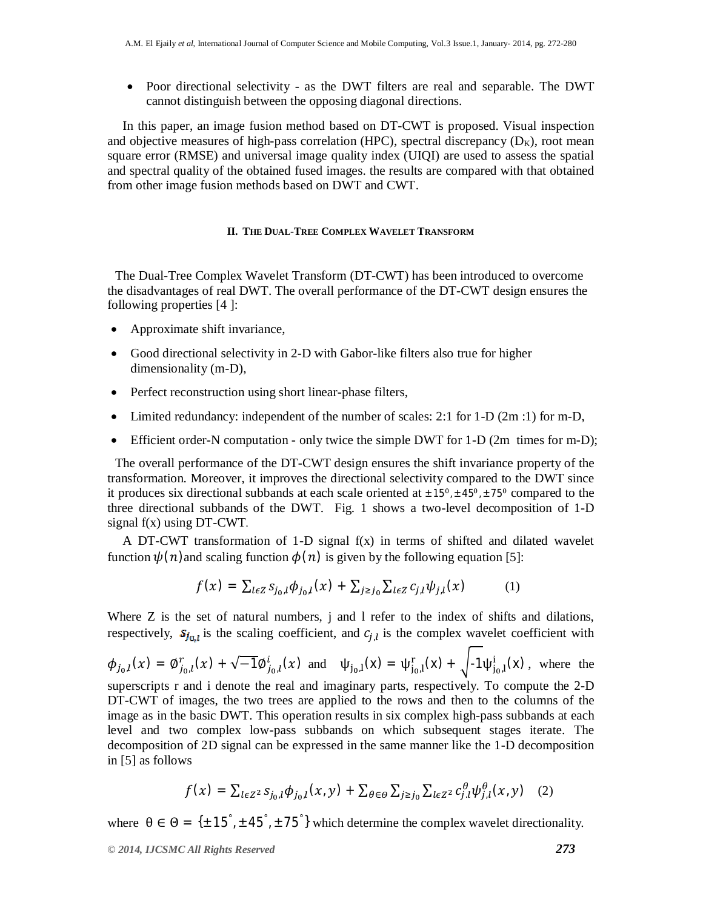• Poor directional selectivity - as the DWT filters are real and separable. The DWT cannot distinguish between the opposing diagonal directions.

In this paper, an image fusion method based on DT-CWT is proposed. Visual inspection and objective measures of high-pass correlation (HPC), spectral discrepancy  $(D_K)$ , root mean square error (RMSE) and universal image quality index (UIQI) are used to assess the spatial and spectral quality of the obtained fused images. the results are compared with that obtained from other image fusion methods based on DWT and CWT.

#### **II. THE DUAL-TREE COMPLEX WAVELET TRANSFORM**

The Dual-Tree Complex Wavelet Transform (DT-CWT) has been introduced to overcome the disadvantages of real DWT. The overall performance of the DT-CWT design ensures the following properties [4 ]:

- Approximate shift invariance,
- Good directional selectivity in 2-D with Gabor-like filters also true for higher dimensionality (m-D),
- Perfect reconstruction using short linear-phase filters,
- Limited redundancy: independent of the number of scales: 2:1 for 1-D (2m :1) for m-D,
- Efficient order-N computation only twice the simple DWT for 1-D (2m times for m-D);

The overall performance of the DT-CWT design ensures the shift invariance property of the transformation. Moreover, it improves the directional selectivity compared to the DWT since it produces six directional subbands at each scale oriented at  $\pm 15^{\circ}$ ,  $\pm 45^{\circ}$ ,  $\pm 75^{\circ}$  compared to the three directional subbands of the DWT. Fig. 1 shows a two-level decomposition of 1-D signal f(x) using DT-CWT*.*

A DT-CWT transformation of 1-D signal  $f(x)$  in terms of shifted and dilated wavelet function  $\psi(n)$  and scaling function  $\phi(n)$  is given by the following equation [5]:

$$
f(x) = \sum_{l \in Z} s_{j_0, l} \phi_{j_0, l}(x) + \sum_{j \ge j_0} \sum_{l \in Z} c_{j, l} \psi_{j, l}(x) \tag{1}
$$

Where Z is the set of natural numbers, j and 1 refer to the index of shifts and dilations, respectively,  $S_{j_{0,l}}$  is the scaling coefficient, and  $c_{j,l}$  is the complex wavelet coefficient with

$$
\phi_{j_0,l}(x) = \phi_{j_0,l}^r(x) + \sqrt{-1}\phi_{j_0,l}^i(x)
$$
 and  $\psi_{j_0,l}(x) = \psi_{j_0,l}^r(x) + \sqrt{-1}\psi_{j_0,l}^i(x)$ , where the superscripts  $r$  and  $i$  denote the real and imaginary parts, respectively. To compute the 2-D DT-CWT of images, the two trees are applied to the rows and then to the columns of the image as in the basic DWT. This operation results in six complex high-pass subbands at each level and two complex low-pass subbands on which subsequent stages iterate. The decomposition of 2D signal can be expressed in the same manner like the 1-D decomposition in [5] as follows

$$
f(x) = \sum_{l \in \mathbb{Z}^2} s_{j_0,l} \phi_{j_0,l}(x,y) + \sum_{\theta \in \Theta} \sum_{j \ge j_0} \sum_{l \in \mathbb{Z}^2} c_{j,l}^{\theta} \psi_{j,l}^{\theta}(x,y) \quad (2)
$$

where  $\theta \in \Theta = {\pm 15^\circ, \pm 45^\circ, \pm 75^\circ}$  which determine the complex wavelet directionality.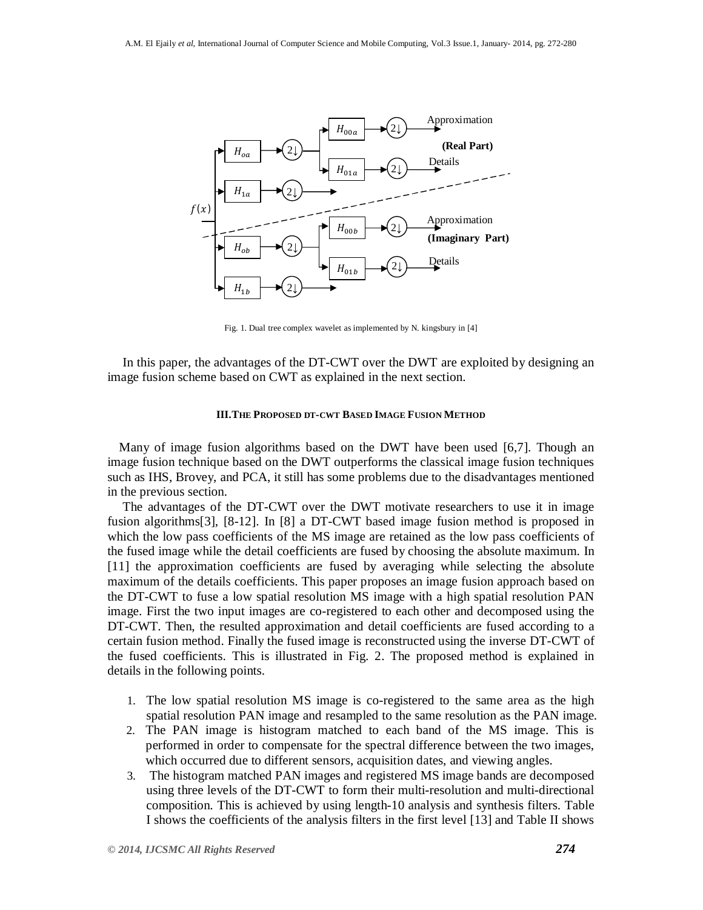

Fig. 1. Dual tree complex wavelet as implemented by N. kingsbury in [4]

In this paper, the advantages of the DT-CWT over the DWT are exploited by designing an image fusion scheme based on CWT as explained in the next section.

#### **III.THE PROPOSED DT-CWT BASED IMAGE FUSION METHOD**

Many of image fusion algorithms based on the DWT have been used [6,7]. Though an image fusion technique based on the DWT outperforms the classical image fusion techniques such as IHS, Brovey, and PCA, it still has some problems due to the disadvantages mentioned in the previous section.

The advantages of the DT-CWT over the DWT motivate researchers to use it in image fusion algorithms[3], [8-12]. In [8] a DT-CWT based image fusion method is proposed in which the low pass coefficients of the MS image are retained as the low pass coefficients of the fused image while the detail coefficients are fused by choosing the absolute maximum. In [11] the approximation coefficients are fused by averaging while selecting the absolute maximum of the details coefficients. This paper proposes an image fusion approach based on the DT-CWT to fuse a low spatial resolution MS image with a high spatial resolution PAN image. First the two input images are co-registered to each other and decomposed using the DT-CWT. Then, the resulted approximation and detail coefficients are fused according to a certain fusion method. Finally the fused image is reconstructed using the inverse DT-CWT of the fused coefficients. This is illustrated in Fig. 2. The proposed method is explained in details in the following points.

- 1. The low spatial resolution MS image is co-registered to the same area as the high spatial resolution PAN image and resampled to the same resolution as the PAN image.
- 2. The PAN image is histogram matched to each band of the MS image. This is performed in order to compensate for the spectral difference between the two images, which occurred due to different sensors, acquisition dates, and viewing angles.
- 3. The histogram matched PAN images and registered MS image bands are decomposed using three levels of the DT-CWT to form their multi-resolution and multi-directional composition. This is achieved by using length-10 analysis and synthesis filters. Table I shows the coefficients of the analysis filters in the first level [13] and Table II shows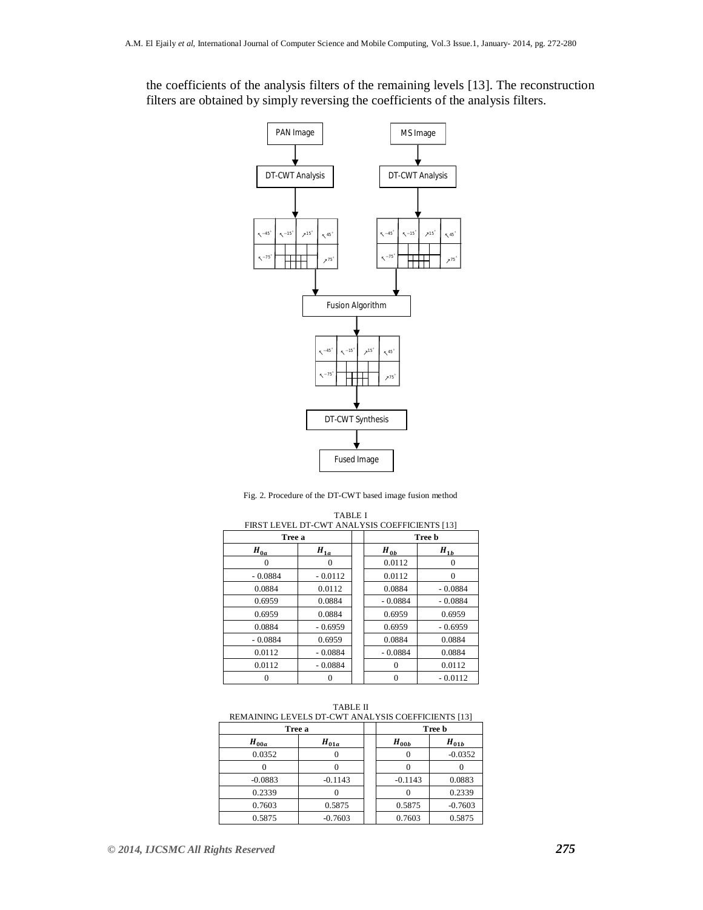the coefficients of the analysis filters of the remaining levels [13]. The reconstruction filters are obtained by simply reversing the coefficients of the analysis filters.



Fig. 2. Procedure of the DT-CWT based image fusion method

| <b>TABLE I</b><br>FIRST LEVEL DT-CWT ANALYSIS COEFFICIENTS [13] |                                  |        |                                  |           |  |  |  |  |  |  |
|-----------------------------------------------------------------|----------------------------------|--------|----------------------------------|-----------|--|--|--|--|--|--|
| Tree a                                                          |                                  | Tree b |                                  |           |  |  |  |  |  |  |
| $H_{\underline{0a}}$                                            | $H_{\underline{1}\underline{a}}$ |        | $H_{\underline{0}\underline{b}}$ | $H_{1b}$  |  |  |  |  |  |  |
| $\Omega$                                                        | 0                                |        | 0.0112                           | $\Omega$  |  |  |  |  |  |  |
| $-0.0884$                                                       | $-0.0112$                        |        | 0.0112                           | $\Omega$  |  |  |  |  |  |  |
| 0.0884                                                          | 0.0112                           |        | 0.0884                           | $-0.0884$ |  |  |  |  |  |  |
| 0.6959                                                          | 0.0884                           |        | $-0.0884$                        | $-0.0884$ |  |  |  |  |  |  |
| 0.6959                                                          | 0.0884                           |        | 0.6959                           | 0.6959    |  |  |  |  |  |  |
| 0.0884                                                          | $-0.6959$                        |        | 0.6959                           | $-0.6959$ |  |  |  |  |  |  |
| $-0.0884$                                                       | 0.6959                           |        | 0.0884                           | 0.0884    |  |  |  |  |  |  |
| 0.0112                                                          | $-0.0884$                        |        | $-0.0884$                        | 0.0884    |  |  |  |  |  |  |
| 0.0112                                                          | $-0.0884$                        |        | $\theta$                         | 0.0112    |  |  |  |  |  |  |
|                                                                 |                                  |        | $\Omega$                         | $-0.0112$ |  |  |  |  |  |  |

TABLE II REMAINING LEVELS DT-CWT ANALYSIS COEFFICIENTS [13]

| Tree a    |           |           | Tree b    |  |  |  |
|-----------|-----------|-----------|-----------|--|--|--|
| $H_{00a}$ | $H_{01a}$ | $H_{00b}$ | $H_{01b}$ |  |  |  |
| 0.0352    |           |           | $-0.0352$ |  |  |  |
|           |           |           |           |  |  |  |
| $-0.0883$ | $-0.1143$ | $-0.1143$ | 0.0883    |  |  |  |
| 0.2339    |           |           | 0.2339    |  |  |  |
| 0.7603    | 0.5875    | 0.5875    | $-0.7603$ |  |  |  |
| 0.5875    | $-0.7603$ | 0.7603    | 0.5875    |  |  |  |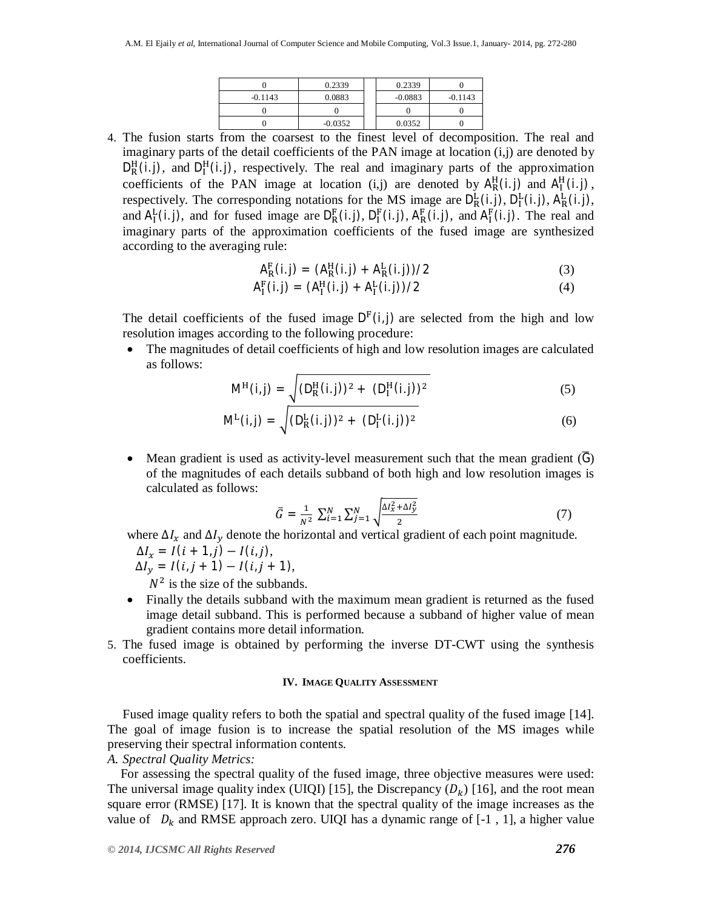|           | 0.2339    | 0.2339    |           |
|-----------|-----------|-----------|-----------|
| $-0.1143$ | 0.0883    | $-0.0883$ | $-0.1143$ |
|           |           |           |           |
|           | $-0.0352$ | 0.0352    |           |

4. The fusion starts from the coarsest to the finest level of decomposition. The real and imaginary parts of the detail coefficients of the PAN image at location (i,j) are denoted by  $D_R^H(i,j)$ , and  $D_I^H(i,j)$ , respectively. The real and imaginary parts of the approximation coefficients of the PAN image at location (i,j) are denoted by  $A_R^H(i,j)$  and  $A_I^H(i,j)$ , respectively. The corresponding notations for the MS image are  $D_R^L(i,j)$ ,  $D_I^L(i,j)$ ,  $A_R^L(i,j)$ , and  $A_I^L(i,j)$ , and for fused image are  $D_R^F(i,j)$ ,  $D_I^F(i,j)$ ,  $A_R^F(i,j)$ , and  $A_I^F(i,j)$ . The real and imaginary parts of the approximation coefficients of the fused image are synthesized according to the averaging rule:

$$
A_R^F(i,j) = (A_R^H(i,j) + A_R^L(i,j))/2
$$
 (3)

$$
A_{I}^{F}(i,j) = (A_{I}^{H}(i,j) + A_{I}^{L}(i,j))/2
$$
\n(4)

The detail coefficients of the fused image  $D<sup>F</sup>(i,j)$  are selected from the high and low resolution images according to the following procedure:

 The magnitudes of detail coefficients of high and low resolution images are calculated as follows:

$$
M^{H}(i,j) = \sqrt{(D_{R}^{H}(i,j))^{2} + (D_{I}^{H}(i,j))^{2}}
$$
(5)

$$
M^{L}(i,j) = \sqrt{(D_{R}^{L}(i,j))^{2} + (D_{I}^{L}(i,j))^{2}}
$$
(6)

• Mean gradient is used as activity-level measurement such that the mean gradient  $(G)$ of the magnitudes of each details subband of both high and low resolution images is calculated as follows:

$$
\bar{G} = \frac{1}{N^2} \sum_{i=1}^{N} \sum_{j=1}^{N} \sqrt{\frac{\Delta I_x^2 + \Delta I_y^2}{2}} \tag{7}
$$

where  $\Delta I_x$  and  $\Delta I_y$  denote the horizontal and vertical gradient of each point magnitude.

$$
\Delta I_x = I(i + 1, j) - I(i, j),
$$

 $\Delta I_y = I(i, j + 1) - I(i, j + 1),$ 

 $N^2$  is the size of the subbands.

- Finally the details subband with the maximum mean gradient is returned as the fused image detail subband. This is performed because a subband of higher value of mean gradient contains more detail information.
- 5. The fused image is obtained by performing the inverse DT-CWT using the synthesis coefficients.

## **IV. IMAGE QUALITY ASSESSMENT**

Fused image quality refers to both the spatial and spectral quality of the fused image [14]. The goal of image fusion is to increase the spatial resolution of the MS images while preserving their spectral information contents.

## *A. Spectral Quality Metrics:*

For assessing the spectral quality of the fused image, three objective measures were used: The universal image quality index (UIQI) [15], the Discrepancy  $(D_k)$  [16], and the root mean square error (RMSE) [17]. It is known that the spectral quality of the image increases as the value of  $D_k$  and RMSE approach zero. UIQI has a dynamic range of [-1, 1], a higher value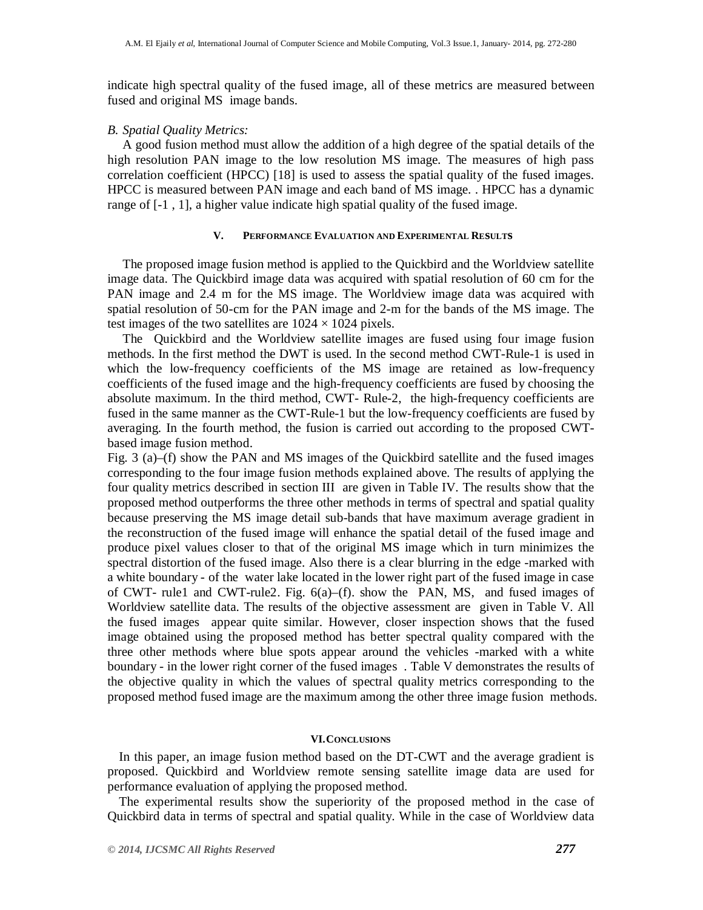indicate high spectral quality of the fused image, all of these metrics are measured between fused and original MS image bands.

### *B. Spatial Quality Metrics:*

A good fusion method must allow the addition of a high degree of the spatial details of the high resolution PAN image to the low resolution MS image. The measures of high pass correlation coefficient (HPCC) [18] is used to assess the spatial quality of the fused images. HPCC is measured between PAN image and each band of MS image. . HPCC has a dynamic range of [-1 , 1], a higher value indicate high spatial quality of the fused image.

## **V. PERFORMANCE EVALUATION AND EXPERIMENTAL REsULTs**

The proposed image fusion method is applied to the Quickbird and the Worldview satellite image data. The Quickbird image data was acquired with spatial resolution of 60 cm for the PAN image and 2.4 m for the MS image. The Worldview image data was acquired with spatial resolution of 50-cm for the PAN image and 2-m for the bands of the MS image. The test images of the two satellites are  $1024 \times 1024$  pixels.

The Quickbird and the Worldview satellite images are fused using four image fusion methods. In the first method the DWT is used. In the second method CWT-Rule-1 is used in which the low-frequency coefficients of the MS image are retained as low-frequency coefficients of the fused image and the high-frequency coefficients are fused by choosing the absolute maximum. In the third method, CWT- Rule-2, the high-frequency coefficients are fused in the same manner as the CWT-Rule-1 but the low-frequency coefficients are fused by averaging. In the fourth method, the fusion is carried out according to the proposed CWTbased image fusion method.

Fig. 3 (a)–(f) show the PAN and MS images of the Quickbird satellite and the fused images corresponding to the four image fusion methods explained above. The results of applying the four quality metrics described in section III are given in Table IV. The results show that the proposed method outperforms the three other methods in terms of spectral and spatial quality because preserving the MS image detail sub-bands that have maximum average gradient in the reconstruction of the fused image will enhance the spatial detail of the fused image and produce pixel values closer to that of the original MS image which in turn minimizes the spectral distortion of the fused image. Also there is a clear blurring in the edge -marked with a white boundary - of the water lake located in the lower right part of the fused image in case of CWT- rule1 and CWT-rule2. Fig.  $6(a)$ – $(f)$ . show the PAN, MS, and fused images of Worldview satellite data. The results of the objective assessment are given in Table V. All the fused images appear quite similar. However, closer inspection shows that the fused image obtained using the proposed method has better spectral quality compared with the three other methods where blue spots appear around the vehicles -marked with a white boundary - in the lower right corner of the fused images . Table V demonstrates the results of the objective quality in which the values of spectral quality metrics corresponding to the proposed method fused image are the maximum among the other three image fusion methods.

## **VI.CONCLUSIONS**

In this paper, an image fusion method based on the DT-CWT and the average gradient is proposed. Quickbird and Worldview remote sensing satellite image data are used for performance evaluation of applying the proposed method.

The experimental results show the superiority of the proposed method in the case of Quickbird data in terms of spectral and spatial quality. While in the case of Worldview data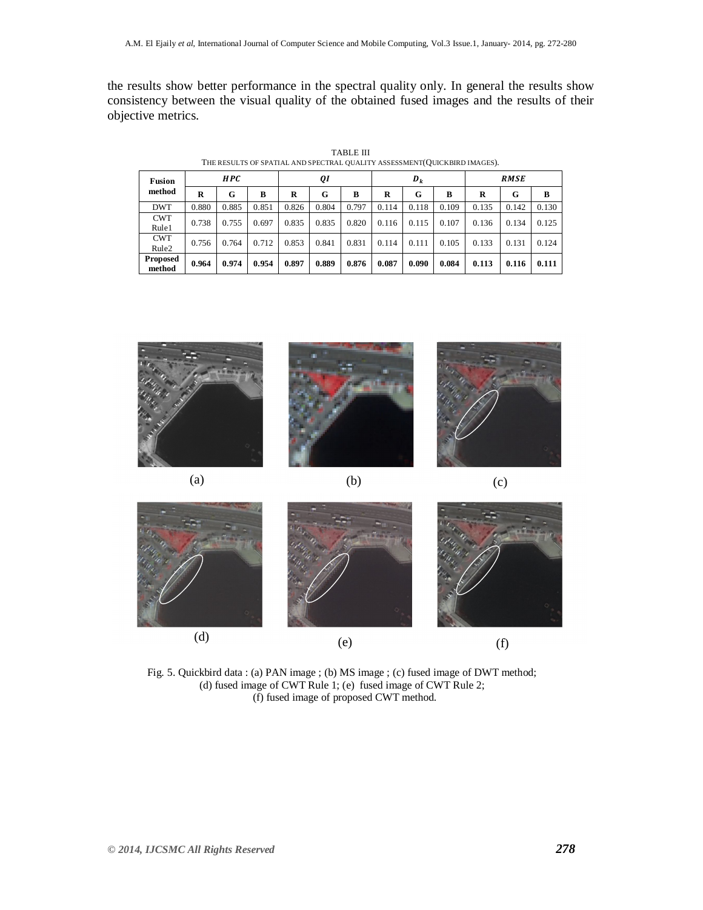the results show better performance in the spectral quality only. In general the results show consistency between the visual quality of the obtained fused images and the results of their objective metrics.

| <b>Fusion</b>                   | HPC   |       |       | QI    |       |       | $D_k$ |       |       | <b>RMSE</b> |       |       |
|---------------------------------|-------|-------|-------|-------|-------|-------|-------|-------|-------|-------------|-------|-------|
| method                          | R     | G     | B     | R     | G     | B     | R     | G     | в     | R           | G     | B     |
| <b>DWT</b>                      | 0.880 | 0.885 | 0.851 | 0.826 | 0.804 | 0.797 | 0.114 | 0.118 | 0.109 | 0.135       | 0.142 | 0.130 |
| <b>CWT</b><br>Rule1             | 0.738 | 0.755 | 0.697 | 0.835 | 0.835 | 0.820 | 0.116 | 0.115 | 0.107 | 0.136       | 0.134 | 0.125 |
| <b>CWT</b><br>Rule <sub>2</sub> | 0.756 | 0.764 | 0.712 | 0.853 | 0.841 | 0.831 | 0.114 | 0.111 | 0.105 | 0.133       | 0.131 | 0.124 |
| <b>Proposed</b><br>method       | 0.964 | 0.974 | 0.954 | 0.897 | 0.889 | 0.876 | 0.087 | 0.090 | 0.084 | 0.113       | 0.116 | 0.111 |

TABLE III THE RESULTS OF SPATIAL AND SPECTRAL QUALITY ASSESSMENT(QUICKBIRD IMAGES).





Fig. 5. Quickbird data : (a) PAN image ; (b) MS image ; (c) fused image of DWT method; (d) fused image of CWT Rule 1; (e) fused image of CWT Rule 2; (f) fused image of proposed CWT method.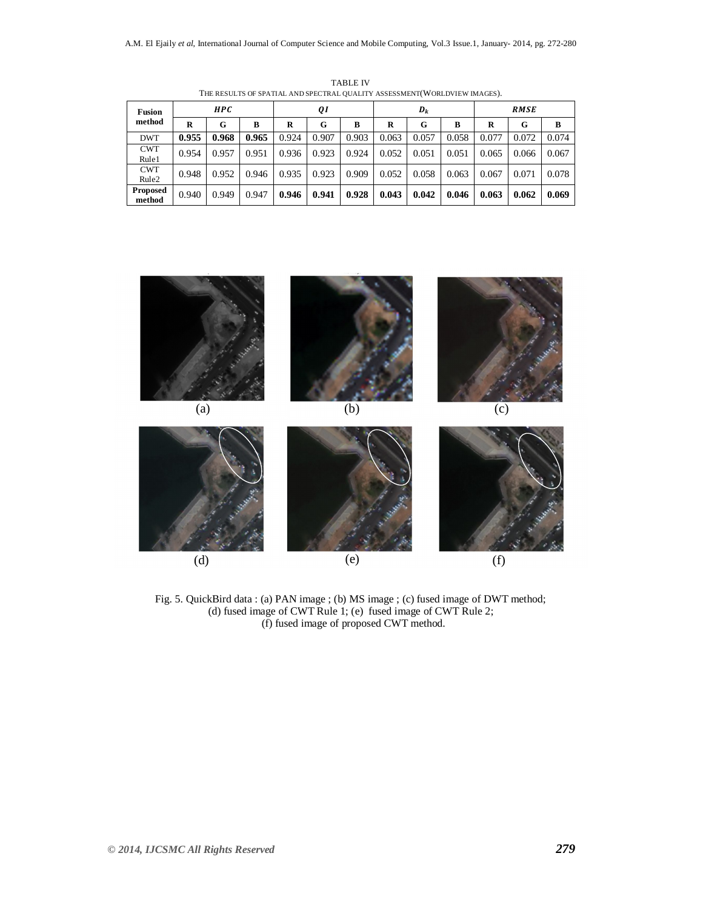| <b>Fusion</b><br>method         | <b>HPC</b> |       |       | QI    |       |       | $D_k$ |       |       | <b>RMSE</b> |       |       |
|---------------------------------|------------|-------|-------|-------|-------|-------|-------|-------|-------|-------------|-------|-------|
|                                 | R          | G     | B     | R     | G     | B     | R     | G     | B     | R           | G     | в     |
| <b>DWT</b>                      | 0.955      | 0.968 | 0.965 | 0.924 | 0.907 | 0.903 | 0.063 | 0.057 | 0.058 | 0.077       | 0.072 | 0.074 |
| <b>CWT</b><br>Rule1             | 0.954      | 0.957 | 0.951 | 0.936 | 0.923 | 0.924 | 0.052 | 0.051 | 0.051 | 0.065       | 0.066 | 0.067 |
| <b>CWT</b><br>Rule <sub>2</sub> | 0.948      | 0.952 | 0.946 | 0.935 | 0.923 | 0.909 | 0.052 | 0.058 | 0.063 | 0.067       | 0.071 | 0.078 |
| <b>Proposed</b><br>method       | 0.940      | 0.949 | 0.947 | 0.946 | 0.941 | 0.928 | 0.043 | 0.042 | 0.046 | 0.063       | 0.062 | 0.069 |

TABLE IV THE RESULTS OF SPATIAL AND SPECTRAL QUALITY ASSESSMENT(WORLDVIEW IMAGES).



Fig. 5. QuickBird data : (a) PAN image ; (b) MS image ; (c) fused image of DWT method; (d) fused image of CWT Rule 1; (e) fused image of CWT Rule 2; (f) fused image of proposed CWT method.